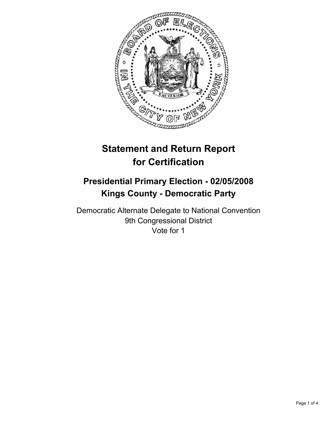

# **Statement and Return Report for Certification**

# **Presidential Primary Election - 02/05/2008 Kings County - Democratic Party**

Democratic Alternate Delegate to National Convention 9th Congressional District Vote for 1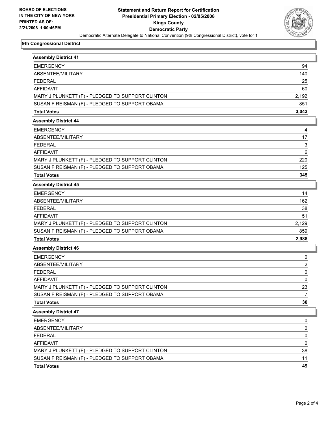

## **9th Congressional District**

| <b>Assembly District 41</b>                      |       |
|--------------------------------------------------|-------|
| <b>EMERGENCY</b>                                 | 94    |
| ABSENTEE/MILITARY                                | 140   |
| <b>FEDERAL</b>                                   | 25    |
| <b>AFFIDAVIT</b>                                 | 60    |
| MARY J PLUNKETT (F) - PLEDGED TO SUPPORT CLINTON | 2,192 |
| SUSAN F REISMAN (F) - PLEDGED TO SUPPORT OBAMA   | 851   |
| <b>Total Votes</b>                               | 3,043 |
| <b>Assembly District 44</b>                      |       |
| <b>EMERGENCY</b>                                 |       |
| ABSENTEE/MILITARY                                | 17    |
| <b>FEDERAL</b>                                   | 3     |
| <b>AFFIDAVIT</b>                                 | 6     |
| MARY J PLUNKETT (F) - PLEDGED TO SUPPORT CLINTON | 220   |
| SUSAN F REISMAN (F) - PLEDGED TO SUPPORT OBAMA   | 125   |
| <b>Total Votes</b>                               | 345   |
| <b>Assembly District 45</b>                      |       |
| <b>EMERGENCY</b>                                 | 14    |
| ABSENTEE/MILITARY                                | 162   |
| <b>FEDERAL</b>                                   | 38    |
| <b>AFFIDAVIT</b>                                 | 51    |
| MARY J PLUNKETT (F) - PLEDGED TO SUPPORT CLINTON | 2,129 |
| SUSAN F REISMAN (F) - PLEDGED TO SUPPORT OBAMA   | 859   |
| <b>Total Votes</b>                               | 2,988 |
| <b>Assembly District 46</b>                      |       |
| <b>EMERGENCY</b>                                 | 0     |
| ABSENTEE/MILITARY                                | 2     |
| <b>FEDERAL</b>                                   | 0     |
| <b>AFFIDAVIT</b>                                 | 0     |
| MARY J PLUNKETT (F) - PLEDGED TO SUPPORT CLINTON | 23    |
| SUSAN F REISMAN (F) - PLEDGED TO SUPPORT OBAMA   | 7     |
| <b>Total Votes</b>                               | 30    |
| <b>Assembly District 47</b>                      |       |
| <b>EMERGENCY</b>                                 | 0     |
| ABSENTEE/MILITARY                                | 0     |
| <b>FEDERAL</b>                                   | 0     |
| <b>AFFIDAVIT</b>                                 | 0     |
| MARY J PLUNKETT (F) - PLEDGED TO SUPPORT CLINTON | 38    |
| SUSAN F REISMAN (F) - PLEDGED TO SUPPORT OBAMA   | 11    |
| <b>Total Votes</b>                               | 49    |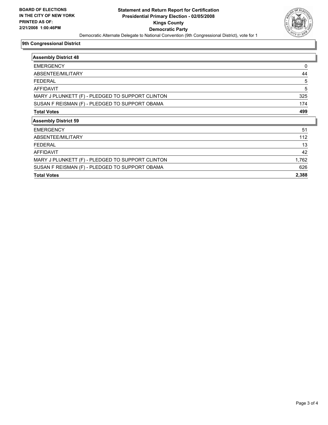

## **9th Congressional District**

| <b>Assembly District 48</b>                      |       |
|--------------------------------------------------|-------|
| <b>EMERGENCY</b>                                 | 0     |
| ABSENTEE/MILITARY                                | 44    |
| <b>FEDERAL</b>                                   | 5     |
| <b>AFFIDAVIT</b>                                 | 5     |
| MARY J PLUNKETT (F) - PLEDGED TO SUPPORT CLINTON | 325   |
| SUSAN F REISMAN (F) - PLEDGED TO SUPPORT OBAMA   | 174   |
| <b>Total Votes</b>                               | 499   |
| <b>Assembly District 59</b>                      |       |
| <b>EMERGENCY</b>                                 | 51    |
| ABSENTEE/MILITARY                                | 112   |
| <b>FEDERAL</b>                                   | 13    |
| AFFIDAVIT                                        | 42    |
| MARY J PLUNKETT (F) - PLEDGED TO SUPPORT CLINTON | 1,762 |
| SUSAN F REISMAN (F) - PLEDGED TO SUPPORT OBAMA   | 626   |
|                                                  |       |